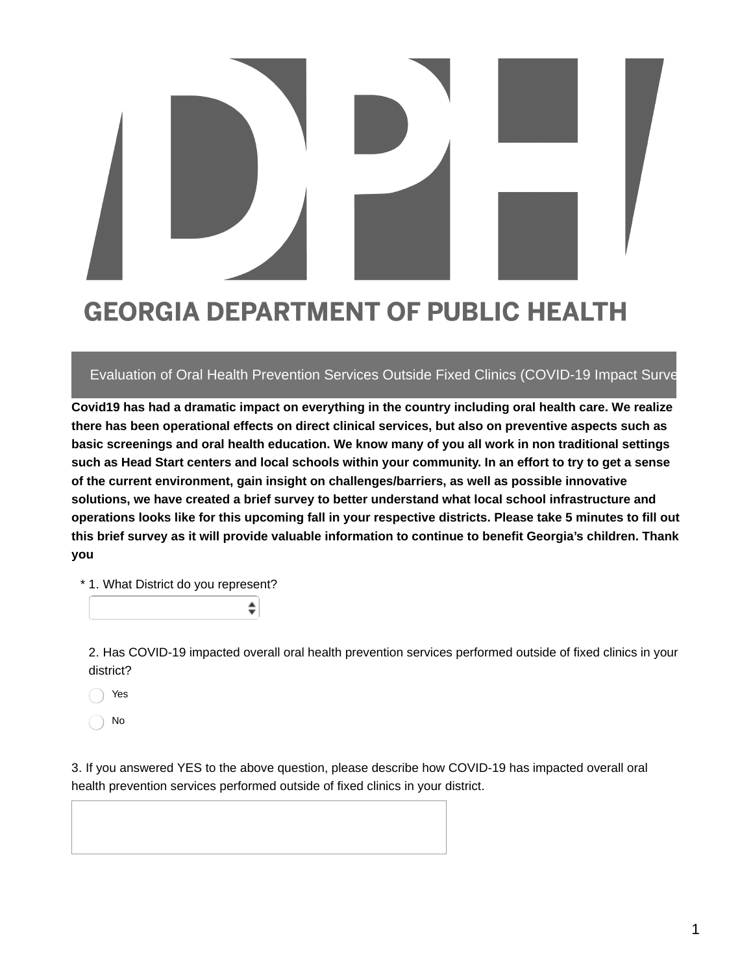## **GEORGIA DEPARTMENT OF PUBLIC HEALTH**

## Evaluation of Oral Health Prevention Services Outside Fixed Clinics (COVID-19 Impact Survey)

**Covid19 has had a dramatic impact on everything in the country including oral health care. We realize there has been operational effects on direct clinical services, but also on preventive aspects such as basic screenings and oral health education. We know many of you all work in non traditional settings** such as Head Start centers and local schools within your community. In an effort to try to get a sense **of the current environment, gain insight on challenges/barriers, as well as possible innovative solutions, we have created a brief survey to better understand what local school infrastructure and** operations looks like for this upcoming fall in your respective districts. Please take 5 minutes to fill out **this brief survey as it will provide valuable information to continue to benefit Georgia's children. Thank you**

\* 1. What District do you represent?

♦

2. Has COVID-19 impacted overall oral health prevention services performed outside of fixed clinics in your district?

Yes

No

3. If you answered YES to the above question, please describe how COVID-19 has impacted overall oral health prevention services performed outside of fixed clinics in your district.